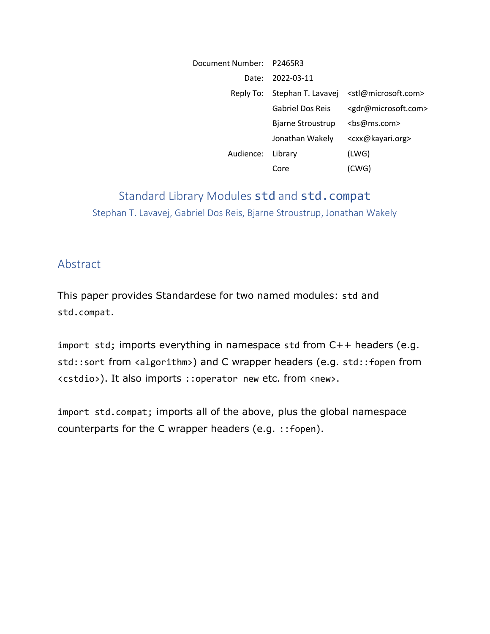| Document Number: P2465R3 |                              |                                         |
|--------------------------|------------------------------|-----------------------------------------|
| Date:                    | 2022-03-11                   |                                         |
|                          | Reply To: Stephan T. Lavavej | <stl@microsoft.com></stl@microsoft.com> |
|                          | <b>Gabriel Dos Reis</b>      | <gdr@microsoft.com></gdr@microsoft.com> |
|                          | Bjarne Stroustrup            | <bs@ms.com></bs@ms.com>                 |
|                          | Jonathan Wakely              | <cxx@kayari.org></cxx@kayari.org>       |
| Audience:                | Library                      | (LWG)                                   |
|                          | Core                         | (CWG)                                   |

# Standard Library Modules std and std.compat Stephan T. Lavavej, Gabriel Dos Reis, Bjarne Stroustrup, Jonathan Wakely

#### Abstract

This paper provides Standardese for two named modules: std and std.compat.

import std; imports everything in namespace std from C++ headers (e.g. std::sort from <algorithm>) and C wrapper headers (e.g. std::fopen from <cstdio>). It also imports ::operator new etc. from <new>.

import std.compat; imports all of the above, plus the global namespace counterparts for the C wrapper headers (e.g. ::fopen).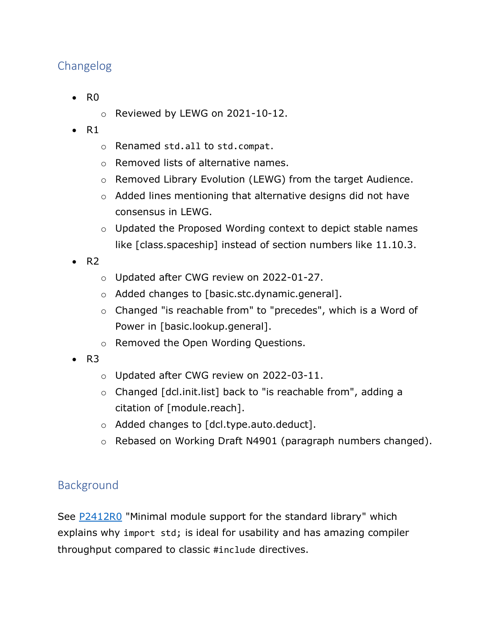# Changelog

- R0
	- o Reviewed by LEWG on 2021-10-12.
- $\bullet$  R1
	- o Renamed std.all to std.compat.
	- o Removed lists of alternative names.
	- o Removed Library Evolution (LEWG) from the target Audience.
	- o Added lines mentioning that alternative designs did not have consensus in LEWG.
	- o Updated the Proposed Wording context to depict stable names like [class.spaceship] instead of section numbers like 11.10.3.
- $\bullet$  R<sub>2</sub>
	- o Updated after CWG review on 2022-01-27.
	- o Added changes to [basic.stc.dynamic.general].
	- o Changed "is reachable from" to "precedes", which is a Word of Power in [basic.lookup.general].
	- o Removed the Open Wording Questions.
- $\bullet$  R<sub>3</sub>
	- o Updated after CWG review on 2022-03-11.
	- o Changed [dcl.init.list] back to "is reachable from", adding a citation of [module.reach].
	- o Added changes to [dcl.type.auto.deduct].
	- o Rebased on Working Draft N4901 (paragraph numbers changed).

## Background

See [P2412R0](https://wg21.link/P2412R0) "Minimal module support for the standard library" which explains why import std; is ideal for usability and has amazing compiler throughput compared to classic #include directives.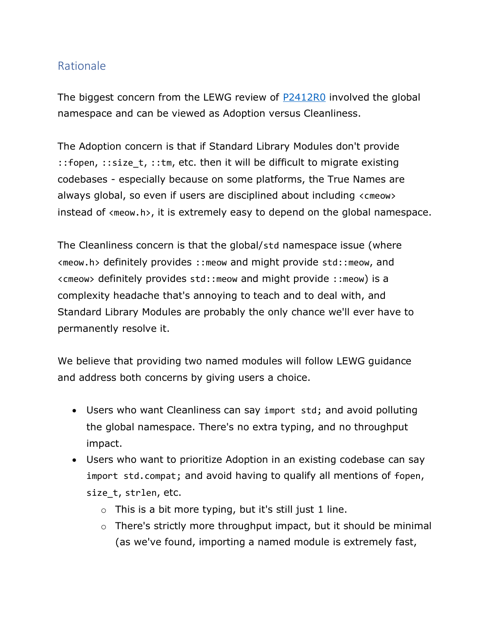## Rationale

The biggest concern from the LEWG review of [P2412R0](https://wg21.link/P2412R0) involved the global namespace and can be viewed as Adoption versus Cleanliness.

The Adoption concern is that if Standard Library Modules don't provide ::fopen, ::size t, ::tm, etc. then it will be difficult to migrate existing codebases - especially because on some platforms, the True Names are always global, so even if users are disciplined about including <cmeow> instead of <meow.h>, it is extremely easy to depend on the global namespace.

The Cleanliness concern is that the global/std namespace issue (where <meow.h> definitely provides ::meow and might provide std::meow, and <cmeow> definitely provides std::meow and might provide ::meow) is a complexity headache that's annoying to teach and to deal with, and Standard Library Modules are probably the only chance we'll ever have to permanently resolve it.

We believe that providing two named modules will follow LEWG guidance and address both concerns by giving users a choice.

- Users who want Cleanliness can say import std; and avoid polluting the global namespace. There's no extra typing, and no throughput impact.
- Users who want to prioritize Adoption in an existing codebase can say import std.compat; and avoid having to qualify all mentions of fopen, size\_t, strlen, etc.
	- $\circ$  This is a bit more typing, but it's still just 1 line.
	- o There's strictly more throughput impact, but it should be minimal (as we've found, importing a named module is extremely fast,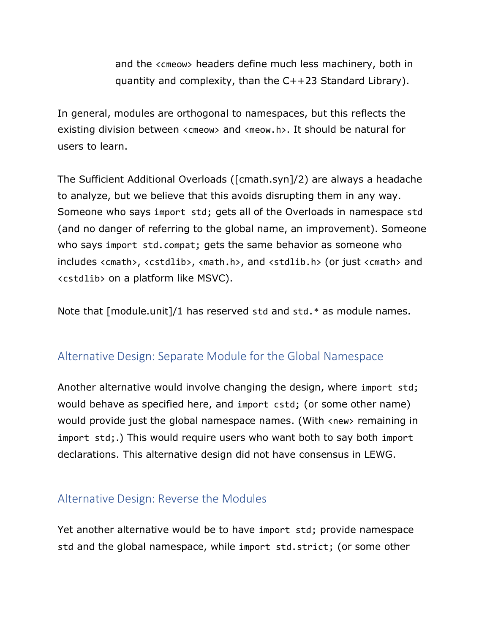and the <cmeow> headers define much less machinery, both in quantity and complexity, than the C++23 Standard Library).

In general, modules are orthogonal to namespaces, but this reflects the existing division between <cmeow> and <meow.h>. It should be natural for users to learn.

The Sufficient Additional Overloads ([cmath.syn]/2) are always a headache to analyze, but we believe that this avoids disrupting them in any way. Someone who says import std; gets all of the Overloads in namespace std (and no danger of referring to the global name, an improvement). Someone who says import std.compat; gets the same behavior as someone who includes <cmath>, <cstdlib>, <math.h>, and <stdlib.h> (or just <cmath> and <cstdlib> on a platform like MSVC).

Note that [module.unit]/1 has reserved std and std.\* as module names.

## Alternative Design: Separate Module for the Global Namespace

Another alternative would involve changing the design, where import std; would behave as specified here, and import cstd; (or some other name) would provide just the global namespace names. (With <new> remaining in import std;.) This would require users who want both to say both import declarations. This alternative design did not have consensus in LEWG.

## Alternative Design: Reverse the Modules

Yet another alternative would be to have import std; provide namespace std and the global namespace, while import std.strict; (or some other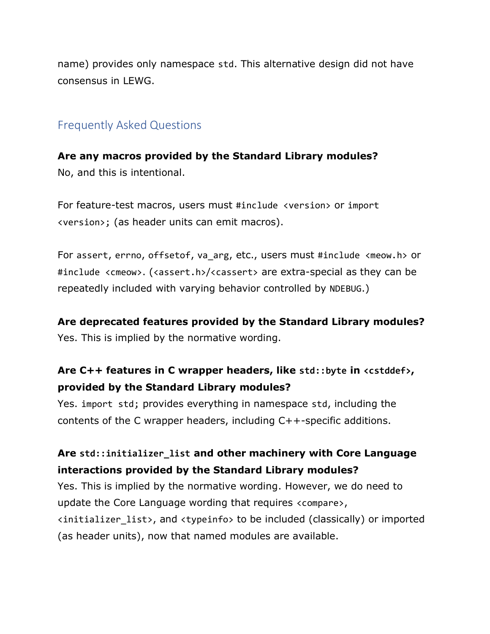name) provides only namespace std. This alternative design did not have consensus in LEWG.

### Frequently Asked Questions

**Are any macros provided by the Standard Library modules?** No, and this is intentional.

For feature-test macros, users must #include <version> or import <version>; (as header units can emit macros).

For assert, errno, offsetof, va arg, etc., users must #include <meow.h> or #include <cmeow>. (<assert.h>/<cassert> are extra-special as they can be repeatedly included with varying behavior controlled by NDEBUG.)

#### **Are deprecated features provided by the Standard Library modules?**

Yes. This is implied by the normative wording.

## **Are C++ features in C wrapper headers, like std::byte in <cstddef>, provided by the Standard Library modules?**

Yes. import std; provides everything in namespace std, including the contents of the C wrapper headers, including C++-specific additions.

## **Are std::initializer\_list and other machinery with Core Language interactions provided by the Standard Library modules?**

Yes. This is implied by the normative wording. However, we do need to update the Core Language wording that requires <compare>, <initializer\_list>, and <typeinfo> to be included (classically) or imported (as header units), now that named modules are available.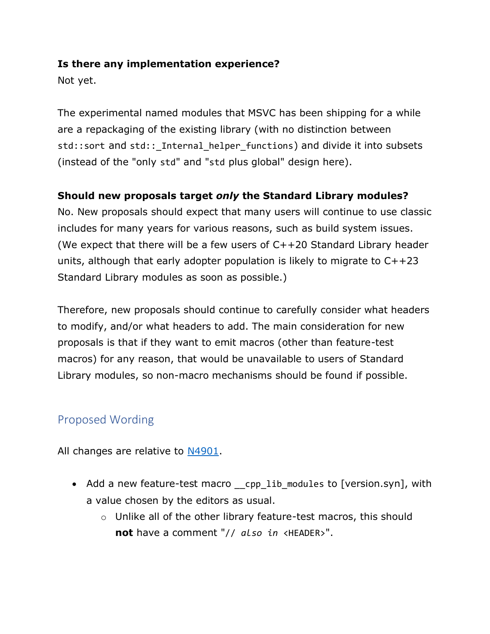#### **Is there any implementation experience?**

Not yet.

The experimental named modules that MSVC has been shipping for a while are a repackaging of the existing library (with no distinction between std::sort and std::\_Internal\_helper\_functions) and divide it into subsets (instead of the "only std" and "std plus global" design here).

### **Should new proposals target** *only* **the Standard Library modules?**

No. New proposals should expect that many users will continue to use classic includes for many years for various reasons, such as build system issues. (We expect that there will be a few users of C++20 Standard Library header units, although that early adopter population is likely to migrate to C++23 Standard Library modules as soon as possible.)

Therefore, new proposals should continue to carefully consider what headers to modify, and/or what headers to add. The main consideration for new proposals is that if they want to emit macros (other than feature-test macros) for any reason, that would be unavailable to users of Standard Library modules, so non-macro mechanisms should be found if possible.

# Proposed Wording

All changes are relative to [N4901.](https://wg21.link/N4901)

- Add a new feature-test macro \_\_cpp\_lib\_modules to [version.syn], with a value chosen by the editors as usual.
	- o Unlike all of the other library feature-test macros, this should **not** have a comment "// *also in* <HEADER>".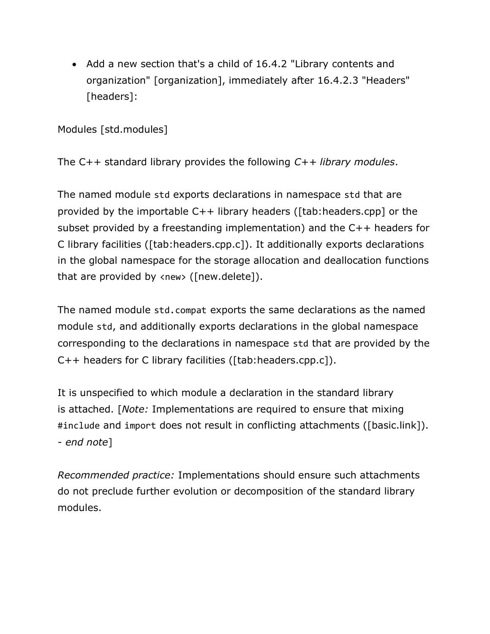• Add a new section that's a child of 16.4.2 "Library contents and organization" [organization], immediately after 16.4.2.3 "Headers" [headers]:

Modules [std.modules]

The C++ standard library provides the following *C++ library modules*.

The named module std exports declarations in namespace std that are provided by the importable C++ library headers ([tab:headers.cpp] or the subset provided by a freestanding implementation) and the C++ headers for C library facilities ([tab:headers.cpp.c]). It additionally exports declarations in the global namespace for the storage allocation and deallocation functions that are provided by <new> ([new.delete]).

The named module std.compat exports the same declarations as the named module std, and additionally exports declarations in the global namespace corresponding to the declarations in namespace std that are provided by the C++ headers for C library facilities ([tab:headers.cpp.c]).

It is unspecified to which module a declaration in the standard library is attached. [*Note:* Implementations are required to ensure that mixing #include and import does not result in conflicting attachments ([basic.link]). *- end note*]

*Recommended practice:* Implementations should ensure such attachments do not preclude further evolution or decomposition of the standard library modules.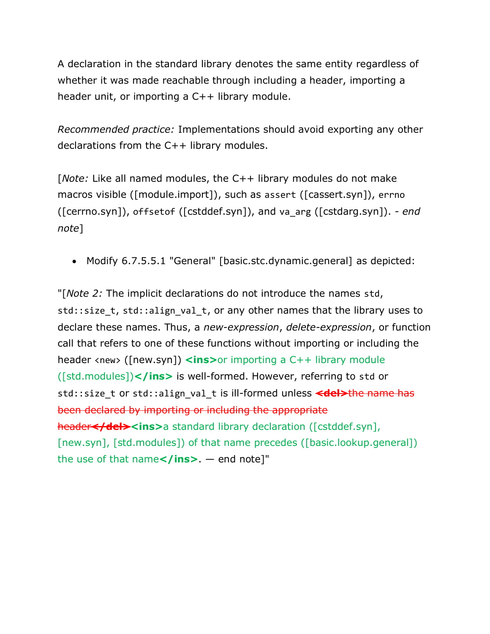A declaration in the standard library denotes the same entity regardless of whether it was made reachable through including a header, importing a header unit, or importing a C++ library module.

*Recommended practice:* Implementations should avoid exporting any other declarations from the C++ library modules.

[*Note:* Like all named modules, the C++ library modules do not make macros visible ([module.import]), such as assert ([cassert.syn]), errno ([cerrno.syn]), offsetof ([cstddef.syn]), and va\_arg ([cstdarg.syn]). *- end note*]

• Modify 6.7.5.5.1 "General" [basic.stc.dynamic.general] as depicted:

"[*Note 2:* The implicit declarations do not introduce the names std, std::size t, std::align val t, or any other names that the library uses to declare these names. Thus, a *new-expression*, *delete-expression*, or function call that refers to one of these functions without importing or including the header <new> ([new.syn]) **<ins>**or importing a C++ library module ([std.modules])**</ins>** is well-formed. However, referring to std or std::size\_t or std::align\_val\_t is ill-formed unless <del>the name has</del> been declared by importing or including the appropriate header<sup></del><ins>a standard library declaration ([cstddef.syn],</sup> [new.syn], [std.modules]) of that name precedes ([basic.lookup.general]) the use of that name</ins>. — end note]"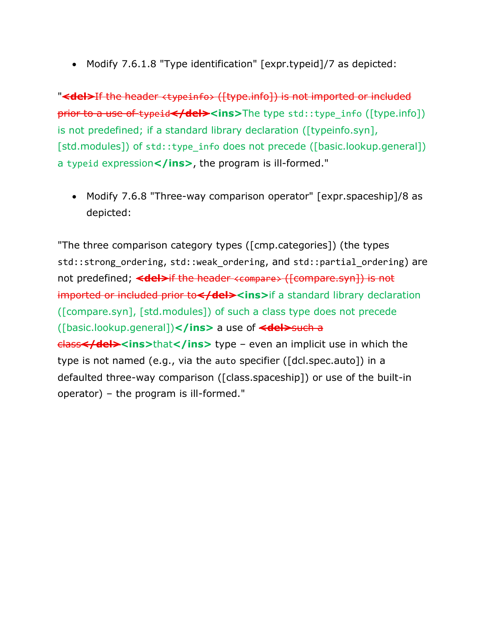• Modify 7.6.1.8 "Type identification" [expr.typeid]/7 as depicted:

"**<del>**If the header <typeinfo> ([type.info]) is not imported or included prior to a use of typeid**</del><ins>**The type std::type info ([type.info]) is not predefined; if a standard library declaration ([typeinfo.syn], [std.modules]) of std::type info does not precede ([basic.lookup.general]) a typeid expression</ins>, the program is ill-formed."

• Modify 7.6.8 "Three-way comparison operator" [expr.spaceship]/8 as depicted:

"The three comparison category types ([cmp.categories]) (the types std::strong ordering, std::weak ordering, and std::partial ordering) are not predefined; <del>if the header <compare> ([compare.syn]) is not imported or included prior to</del><ins>if a standard library declaration ([compare.syn], [std.modules]) of such a class type does not precede ([basic.lookup.general])**</ins>** a use of **<del>**such a **class</del><ins>**that**</ins>** type – even an implicit use in which the type is not named (e.g., via the auto specifier ([dcl.spec.auto]) in a defaulted three-way comparison ([class.spaceship]) or use of the built-in operator) – the program is ill-formed."